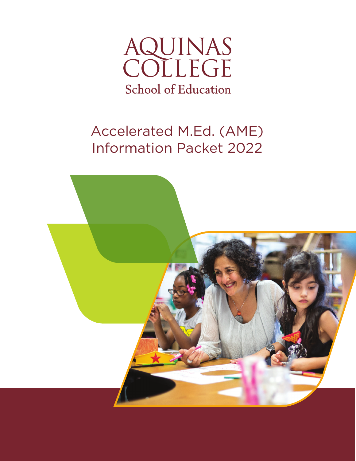

# Accelerated M.Ed. (AME) Information Packet 2022

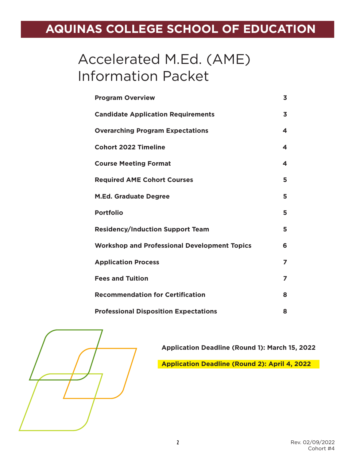## **AQUINAS COLLEGE SCHOOL OF EDUCATION**

## Accelerated M.Ed. (AME) Information Packet

| <b>Program Overview</b>                             | 3 |
|-----------------------------------------------------|---|
| <b>Candidate Application Requirements</b>           | 3 |
| <b>Overarching Program Expectations</b>             | 4 |
| <b>Cohort 2022 Timeline</b>                         | 4 |
| <b>Course Meeting Format</b>                        | 4 |
| <b>Required AME Cohort Courses</b>                  | 5 |
| <b>M.Ed. Graduate Degree</b>                        | 5 |
| <b>Portfolio</b>                                    | 5 |
| <b>Residency/Induction Support Team</b>             | 5 |
| <b>Workshop and Professional Development Topics</b> | 6 |
| <b>Application Process</b>                          | 7 |
| <b>Fees and Tuition</b>                             | 7 |
| <b>Recommendation for Certification</b>             | 8 |
| <b>Professional Disposition Expectations</b>        | 8 |



**Application Deadline (Round 1): March 15, 2022**

**Application Deadline (Round 2): April 4, 2022**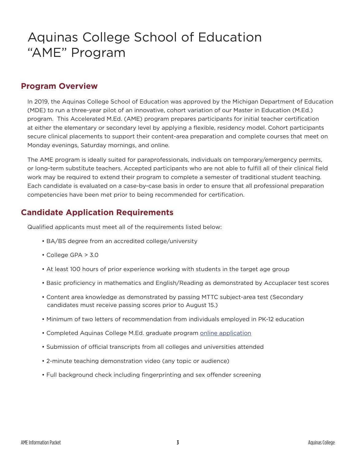## Aquinas College School of Education "AME" Program

#### **Program Overview**

In 2019, the Aquinas College School of Education was approved by the Michigan Department of Education (MDE) to run a three-year pilot of an innovative, cohort variation of our Master in Education (M.Ed.) program. This Accelerated M.Ed. (AME) program prepares participants for initial teacher certification at either the elementary or secondary level by applying a flexible, residency model. Cohort participants secure clinical placements to support their content-area preparation and complete courses that meet on Monday evenings, Saturday mornings, and online.

The AME program is ideally suited for paraprofessionals, individuals on temporary/emergency permits, or long-term substitute teachers. Accepted participants who are not able to fulfill all of their clinical field work may be required to extend their program to complete a semester of traditional student teaching. Each candidate is evaluated on a case-by-case basis in order to ensure that all professional preparation competencies have been met prior to being recommended for certification.

#### **Candidate Application Requirements**

Qualified applicants must meet all of the requirements listed below:

- BA/BS degree from an accredited college/university
- College GPA > 3.0
- At least 100 hours of prior experience working with students in the target age group
- Basic proficiency in mathematics and English/Reading as demonstrated by Accuplacer test scores
- Content area knowledge as demonstrated by passing MTTC subject-area test (Secondary candidates must receive passing scores prior to August 15.)
- Minimum of two letters of recommendation from individuals employed in PK-12 education
- Completed Aquinas College M.Ed. graduate program online application
- Submission of official transcripts from all colleges and universities attended
- 2-minute teaching demonstration video (any topic or audience)
- Full background check including fingerprinting and sex offender screening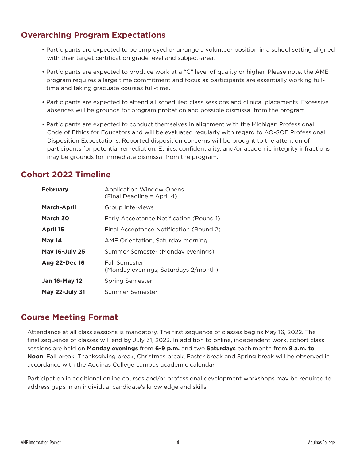#### **Overarching Program Expectations**

- Participants are expected to be employed or arrange a volunteer position in a school setting aligned with their target certification grade level and subject-area.
- Participants are expected to produce work at a "C" level of quality or higher. Please note, the AME program requires a large time commitment and focus as participants are essentially working fulltime and taking graduate courses full-time.
- Participants are expected to attend all scheduled class sessions and clinical placements. Excessive absences will be grounds for program probation and possible dismissal from the program.
- Participants are expected to conduct themselves in alignment with the Michigan Professional Code of Ethics for Educators and will be evaluated regularly with regard to AQ-SOE Professional Disposition Expectations. Reported disposition concerns will be brought to the attention of participants for potential remediation. Ethics, confidentiality, and/or academic integrity infractions may be grounds for immediate dismissal from the program.

#### **Cohort 2022 Timeline**

| <b>February</b>       | <b>Application Window Opens</b><br>(Final Deadline = April 4) |
|-----------------------|---------------------------------------------------------------|
| <b>March-April</b>    | Group Interviews                                              |
| March 30              | Early Acceptance Notification (Round 1)                       |
| <b>April 15</b>       | Final Acceptance Notification (Round 2)                       |
| <b>May 14</b>         | AME Orientation, Saturday morning                             |
| <b>May 16-July 25</b> | Summer Semester (Monday evenings)                             |
| <b>Aug 22-Dec 16</b>  | Fall Semester<br>(Monday evenings; Saturdays 2/month)         |
| <b>Jan 16-May 12</b>  | Spring Semester                                               |
| <b>May 22-July 31</b> | Summer Semester                                               |

#### **Course Meeting Format**

Attendance at all class sessions is mandatory. The first sequence of classes begins May 16, 2022. The final sequence of classes will end by July 31, 2023. In addition to online, independent work, cohort class sessions are held on **Monday evenings** from **6-9 p.m.** and two **Saturdays** each month from **8 a.m. to Noon**. Fall break, Thanksgiving break, Christmas break, Easter break and Spring break will be observed in accordance with the Aquinas College campus academic calendar.

Participation in additional online courses and/or professional development workshops may be required to address gaps in an individual candidate's knowledge and skills.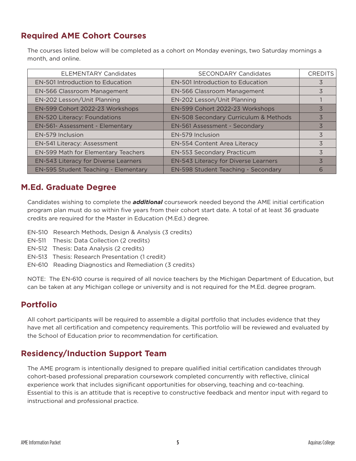## **Required AME Cohort Courses**

The courses listed below will be completed as a cohort on Monday evenings, two Saturday mornings a month, and online.

| <b>ELEMENTARY Candidates</b>            | <b>SECONDARY Candidates</b>             | <b>CREDITS</b> |
|-----------------------------------------|-----------------------------------------|----------------|
| <b>EN-501 Introduction to Education</b> | <b>EN-501 Introduction to Education</b> | 3              |
| EN-566 Classroom Management             | EN-566 Classroom Management             |                |
| EN-202 Lesson/Unit Planning             | EN-202 Lesson/Unit Planning             |                |
| EN-599 Cohort 2022-23 Workshops         | EN-599 Cohort 2022-23 Workshops         | 3              |
| <b>EN-520 Literacy: Foundations</b>     | EN-508 Secondary Curriculum & Methods   |                |
| EN-561- Assessment - Elementary         | EN-561 Assessment - Secondary           | 3              |
| EN-579 Inclusion                        | EN-579 Inclusion                        | 3              |
| EN-541 Literacy: Assessment             | EN-554 Content Area Literacy            | 3              |
| EN-599 Math for Elementary Teachers     | EN-553 Secondary Practicum              | 3              |
| EN-543 Literacy for Diverse Learners    | EN-543 Literacy for Diverse Learners    | 3              |
| EN-595 Student Teaching - Elementary    | EN-598 Student Teaching - Secondary     | 6              |

#### **M.Ed. Graduate Degree**

Candidates wishing to complete the *additional* coursework needed beyond the AME initial certification program plan must do so within five years from their cohort start date. A total of at least 36 graduate credits are required for the Master in Education (M.Ed.) degree.

- EN-510 Research Methods, Design & Analysis (3 credits)
- EN-511 Thesis: Data Collection (2 credits)
- EN-512 Thesis: Data Analysis (2 credits)
- EN-513 Thesis: Research Presentation (1 credit)
- EN-610 Reading Diagnostics and Remediation (3 credits)

NOTE: The EN-610 course is required of all novice teachers by the Michigan Department of Education, but can be taken at any Michigan college or university and is not required for the M.Ed. degree program.

#### **Portfolio**

All cohort participants will be required to assemble a digital portfolio that includes evidence that they have met all certification and competency requirements. This portfolio will be reviewed and evaluated by the School of Education prior to recommendation for certification.

### **Residency/Induction Support Team**

The AME program is intentionally designed to prepare qualified initial certification candidates through cohort-based professional preparation coursework completed concurrently with reflective, clinical experience work that includes significant opportunities for observing, teaching and co-teaching. Essential to this is an attitude that is receptive to constructive feedback and mentor input with regard to instructional and professional practice.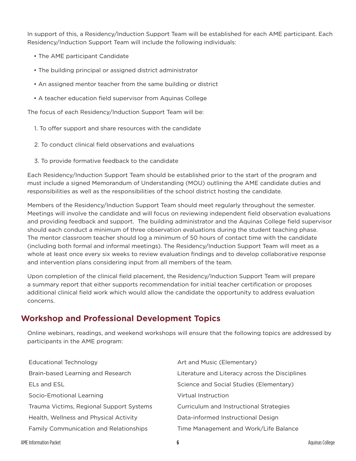In support of this, a Residency/Induction Support Team will be established for each AME participant. Each Residency/Induction Support Team will include the following individuals:

- The AME participant Candidate
- The building principal or assigned district administrator
- An assigned mentor teacher from the same building or district
- A teacher education field supervisor from Aquinas College

The focus of each Residency/Induction Support Team will be:

- 1. To offer support and share resources with the candidate
- 2. To conduct clinical field observations and evaluations
- 3. To provide formative feedback to the candidate

Each Residency/Induction Support Team should be established prior to the start of the program and must include a signed Memorandum of Understanding (MOU) outlining the AME candidate duties and responsibilities as well as the responsibilities of the school district hosting the candidate.

Members of the Residency/Induction Support Team should meet regularly throughout the semester. Meetings will involve the candidate and will focus on reviewing independent field observation evaluations and providing feedback and support. The building administrator and the Aquinas College field supervisor should each conduct a minimum of three observation evaluations during the student teaching phase. The mentor classroom teacher should log a minimum of 50 hours of contact time with the candidate (including both formal and informal meetings). The Residency/Induction Support Team will meet as a whole at least once every six weeks to review evaluation findings and to develop collaborative response and intervention plans considering input from all members of the team.

Upon completion of the clinical field placement, the Residency/Induction Support Team will prepare a summary report that either supports recommendation for initial teacher certification or proposes additional clinical field work which would allow the candidate the opportunity to address evaluation concerns.

#### **Workshop and Professional Development Topics**

Online webinars, readings, and weekend workshops will ensure that the following topics are addressed by participants in the AME program:

| <b>Educational Technology</b>            | Art and Music (Elementary)                     |
|------------------------------------------|------------------------------------------------|
| Brain-based Learning and Research        | Literature and Literacy across the Disciplines |
| ELs and ESL                              | Science and Social Studies (Elementary)        |
| Socio-Emotional Learning                 | Virtual Instruction                            |
| Trauma Victims, Regional Support Systems | Curriculum and Instructional Strategies        |
| Health, Wellness and Physical Activity   | Data-informed Instructional Design             |
| Family Communication and Relationships   | Time Management and Work/Life Balance          |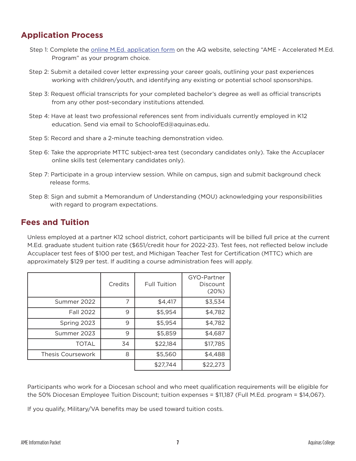#### **Application Process**

- Step 1: Complete the **online M.Ed. application form** on the AQ website, selecting "AME Accelerated M.Ed. Program" as your program choice.
- Step 2: Submit a detailed cover letter expressing your career goals, outlining your past experiences working with children/youth, and identifying any existing or potential school sponsorships.
- Step 3: Request official transcripts for your completed bachelor's degree as well as official transcripts from any other post-secondary institutions attended.
- Step 4: Have at least two professional references sent from individuals currently employed in K12 education. Send via email to SchoolofEd@aquinas.edu.
- Step 5: Record and share a 2-minute teaching demonstration video.
- Step 6: Take the appropriate MTTC subject-area test (secondary candidates only). Take the Accuplacer online skills test (elementary candidates only).
- Step 7: Participate in a group interview session. While on campus, sign and submit background check release forms.
- Step 8: Sign and submit a Memorandum of Understanding (MOU) acknowledging your responsibilities with regard to program expectations.

#### **Fees and Tuition**

Unless employed at a partner K12 school district, cohort participants will be billed full price at the current M.Ed. graduate student tuition rate (\$651/credit hour for 2022-23). Test fees, not reflected below include Accuplacer test fees of \$100 per test, and Michigan Teacher Test for Certification (MTTC) which are approximately \$129 per test. If auditing a course administration fees will apply.

|                          | Credits | <b>Full Tuition</b> | GYO-Partner<br>Discount<br>(20%) |
|--------------------------|---------|---------------------|----------------------------------|
| Summer 2022              | 7       | \$4,417             | \$3,534                          |
| Fall 2022                | 9       | \$5,954             | \$4,782                          |
| Spring 2023              | 9       | \$5,954             | \$4,782                          |
| Summer 2023              | 9       | \$5,859             | \$4,687                          |
| <b>TOTAL</b>             | 34      | \$22,184            | \$17,785                         |
| <b>Thesis Coursework</b> | 8       | \$5,560             | \$4,488                          |
|                          |         | \$27,744            | \$22,273                         |

Participants who work for a Diocesan school and who meet qualification requirements will be eligible for the 50% Diocesan Employee Tuition Discount; tuition expenses = \$11,187 (Full M.Ed. program = \$14,067).

If you qualify, Military/VA benefits may be used toward tuition costs.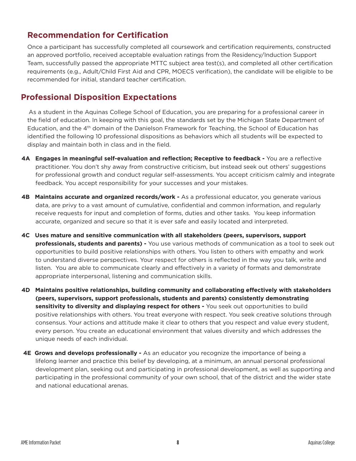#### **Recommendation for Certification**

Once a participant has successfully completed all coursework and certification requirements, constructed an approved portfolio, received acceptable evaluation ratings from the Residency/Induction Support Team, successfully passed the appropriate MTTC subject area test(s), and completed all other certification requirements (e.g., Adult/Child First Aid and CPR, MOECS verification), the candidate will be eligible to be recommended for initial, standard teacher certification.

#### **Professional Disposition Expectations**

As a student in the Aquinas College School of Education, you are preparing for a professional career in the field of education. In keeping with this goal, the standards set by the Michigan State Department of Education, and the 4<sup>th</sup> domain of the Danielson Framework for Teaching, the School of Education has identified the following 10 professional dispositions as behaviors which all students will be expected to display and maintain both in class and in the field.

- **4A Engages in meaningful self-evaluation and reflection; Receptive to feedback** You are a reflective practitioner. You don't shy away from constructive criticism, but instead seek out others' suggestions for professional growth and conduct regular self-assessments. You accept criticism calmly and integrate feedback. You accept responsibility for your successes and your mistakes.
- **4B Maintains accurate and organized records/work** As a professional educator, you generate various data, are privy to a vast amount of cumulative, confidential and common information, and regularly receive requests for input and completion of forms, duties and other tasks. You keep information accurate, organized and secure so that it is ever safe and easily located and interpreted.
- **4C Uses mature and sensitive communication with all stakeholders (peers, supervisors, support professionals, students and parents) -** You use various methods of communication as a tool to seek out opportunities to build positive relationships with others. You listen to others with empathy and work to understand diverse perspectives. Your respect for others is reflected in the way you talk, write and listen. You are able to communicate clearly and effectively in a variety of formats and demonstrate appropriate interpersonal, listening and communication skills.
- **4D Maintains positive relationships, building community and collaborating effectively with stakeholders (peers, supervisors, support professionals, students and parents) consistently demonstrating sensitivity to diversity and displaying respect for others -** You seek out opportunities to build positive relationships with others. You treat everyone with respect. You seek creative solutions through consensus. Your actions and attitude make it clear to others that you respect and value every student, every person. You create an educational environment that values diversity and which addresses the unique needs of each individual.
- **4E Grows and develops professionally** As an educator you recognize the importance of being a lifelong learner and practice this belief by developing, at a minimum, an annual personal professional development plan, seeking out and participating in professional development, as well as supporting and participating in the professional community of your own school, that of the district and the wider state and national educational arenas.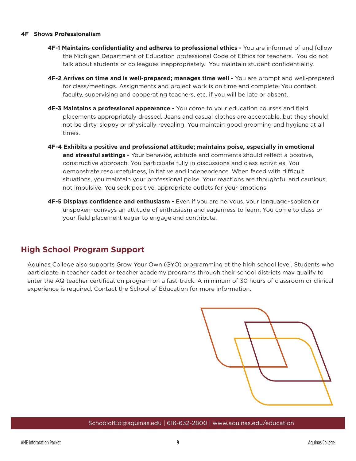#### **4F Shows Professionalism**

- **4F-1 Maintains confidentiality and adheres to professional ethics** You are informed of and follow the Michigan Department of Education professional Code of Ethics for teachers. You do not talk about students or colleagues inappropriately. You maintain student confidentiality.
- **4F-2 Arrives on time and is well-prepared; manages time well** You are prompt and well-prepared for class/meetings. Assignments and project work is on time and complete. You contact faculty, supervising and cooperating teachers, etc. if you will be late or absent.
- **4F-3 Maintains a professional appearance** You come to your education courses and field placements appropriately dressed. Jeans and casual clothes are acceptable, but they should not be dirty, sloppy or physically revealing. You maintain good grooming and hygiene at all times.
- **4F-4 Exhibits a positive and professional attitude; maintains poise, especially in emotional and stressful settings -** Your behavior, attitude and comments should reflect a positive, constructive approach. You participate fully in discussions and class activities. You demonstrate resourcefulness, initiative and independence. When faced with difficult situations, you maintain your professional poise. Your reactions are thoughtful and cautious, not impulsive. You seek positive, appropriate outlets for your emotions.
- **4F-5 Displays confidence and enthusiasm** Even if you are nervous, your language–spoken or unspoken–conveys an attitude of enthusiasm and eagerness to learn. You come to class or your field placement eager to engage and contribute.

#### **High School Program Support**

Aquinas College also supports Grow Your Own (GYO) programming at the high school level. Students who participate in teacher cadet or teacher academy programs through their school districts may qualify to enter the AQ teacher certification program on a fast-track. A minimum of 30 hours of classroom or clinical experience is required. Contact the School of Education for more information.



#### SchoolofEd@aquinas.edu | 616-632-2800 | www.aquinas.edu/education